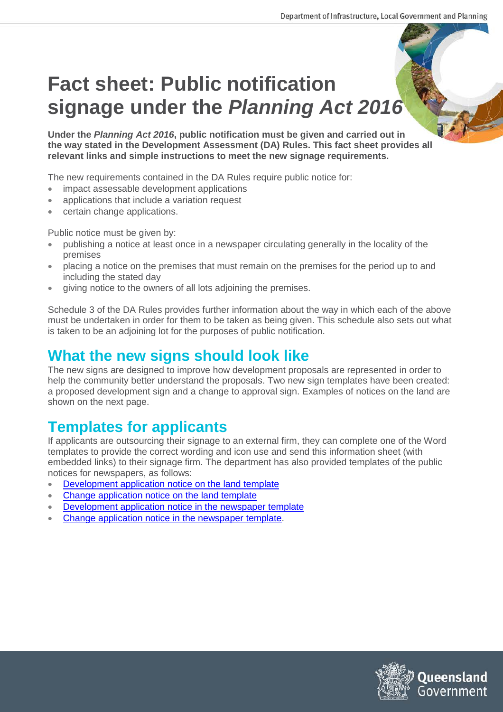# **Fact sheet: Public notification signage under the** *Planning Act 2016*

**Under the** *Planning Act 2016***, public notification must be given and carried out in the way stated in the Development Assessment (DA) Rules. This fact sheet provides all relevant links and simple instructions to meet the new signage requirements.**

The new requirements contained in the DA Rules require public notice for:

- impact assessable development applications
- applications that include a variation request
- certain change applications.

Public notice must be given by:

- publishing a notice at least once in a newspaper circulating generally in the locality of the premises
- placing a notice on the premises that must remain on the premises for the period up to and including the stated day
- giving notice to the owners of all lots adjoining the premises.

Schedule 3 of the DA Rules provides further information about the way in which each of the above must be undertaken in order for them to be taken as being given. This schedule also sets out what is taken to be an adjoining lot for the purposes of public notification.

#### **What the new signs should look like**

The new signs are designed to improve how development proposals are represented in order to help the community better understand the proposals. Two new sign templates have been created: a proposed development sign and a change to approval sign. Examples of notices on the land are shown on the next page.

## **Templates for applicants**

If applicants are outsourcing their signage to an external firm, they can complete one of the Word templates to provide the correct wording and icon use and send this information sheet (with embedded links) to their signage firm. The department has also provided templates of the public notices for newspapers, as follows:

- [Development application notice on the land](https://dilgpprd.blob.core.windows.net/general/developmentapplicationnoticeonthelandtemplate.docx) template
- [Change application notice on the land template](https://dilgpprd.blob.core.windows.net/general/changeapplicationnoticeonthelandtemplate.docx)
- [Development application notice in the](https://dilgpprd.blob.core.windows.net/general/developmentapplicationnoticeinthenewspapertemplate.docx) newspaper template
- [Change application notice in the newspaper template.](https://dilgpprd.blob.core.windows.net/general/changeapplicationnoticeinthenewspapertemplate.docx)

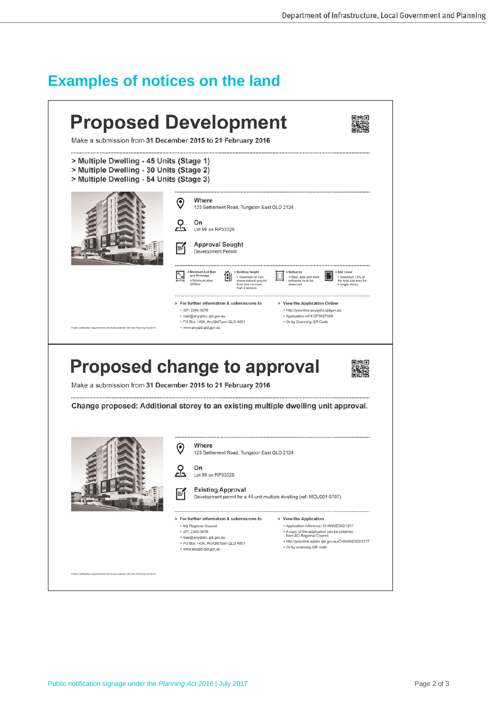#### **Examples of notices on the land**